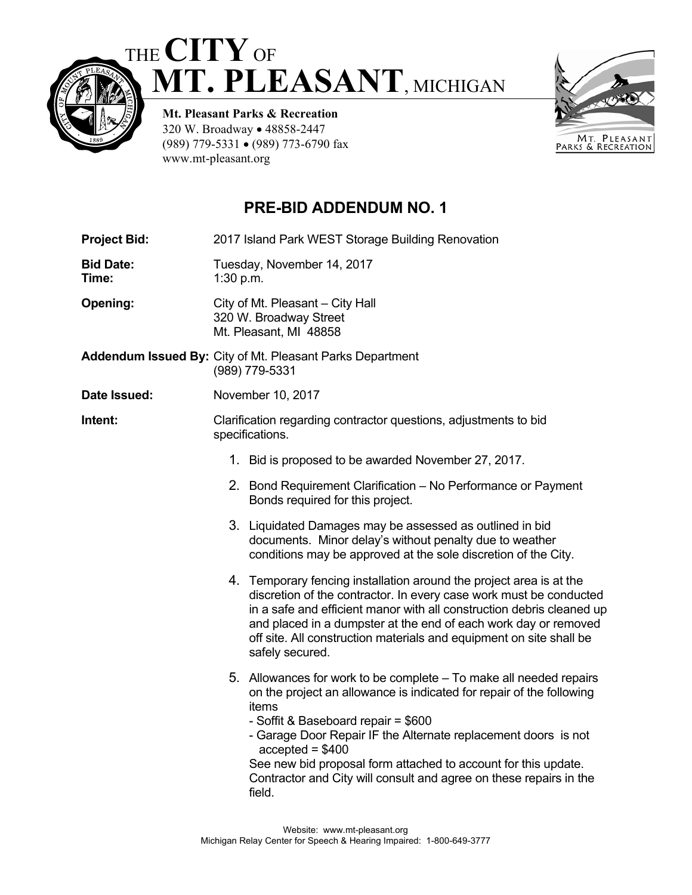# THE **CITY**OF  **MT. PLEASANT**, MICHIGAN



**Mt. Pleasant Parks & Recreation**  320 W. Broadway • 48858-2447 (989) 779-5331 (989) 773-6790 fax www.mt-pleasant.org

## **PRE-BID ADDENDUM NO. 1**

| <b>Project Bid:</b>       | 2017 Island Park WEST Storage Building Renovation                                                                                                                                                                                                                                                                                                                                                                                   |  |  |  |  |
|---------------------------|-------------------------------------------------------------------------------------------------------------------------------------------------------------------------------------------------------------------------------------------------------------------------------------------------------------------------------------------------------------------------------------------------------------------------------------|--|--|--|--|
| <b>Bid Date:</b><br>Time: | Tuesday, November 14, 2017<br>1:30 p.m.                                                                                                                                                                                                                                                                                                                                                                                             |  |  |  |  |
| Opening:                  | City of Mt. Pleasant - City Hall<br>320 W. Broadway Street<br>Mt. Pleasant, MI 48858                                                                                                                                                                                                                                                                                                                                                |  |  |  |  |
|                           | Addendum Issued By: City of Mt. Pleasant Parks Department<br>(989) 779-5331                                                                                                                                                                                                                                                                                                                                                         |  |  |  |  |
| Date Issued:              | November 10, 2017                                                                                                                                                                                                                                                                                                                                                                                                                   |  |  |  |  |
| Intent:                   | Clarification regarding contractor questions, adjustments to bid<br>specifications.                                                                                                                                                                                                                                                                                                                                                 |  |  |  |  |
|                           | 1. Bid is proposed to be awarded November 27, 2017.                                                                                                                                                                                                                                                                                                                                                                                 |  |  |  |  |
|                           | 2. Bond Requirement Clarification - No Performance or Payment<br>Bonds required for this project.                                                                                                                                                                                                                                                                                                                                   |  |  |  |  |
|                           | 3. Liquidated Damages may be assessed as outlined in bid<br>documents. Minor delay's without penalty due to weather<br>conditions may be approved at the sole discretion of the City.                                                                                                                                                                                                                                               |  |  |  |  |
|                           | 4. Temporary fencing installation around the project area is at the<br>discretion of the contractor. In every case work must be conducted<br>in a safe and efficient manor with all construction debris cleaned up<br>and placed in a dumpster at the end of each work day or removed<br>off site. All construction materials and equipment on site shall be<br>safely secured.                                                     |  |  |  |  |
|                           | 5. Allowances for work to be complete – To make all needed repairs<br>on the project an allowance is indicated for repair of the following<br>items<br>- Soffit & Baseboard repair = \$600<br>- Garage Door Repair IF the Alternate replacement doors is not<br>$accelted = $400$<br>See new bid proposal form attached to account for this update.<br>Contractor and City will consult and agree on these repairs in the<br>field. |  |  |  |  |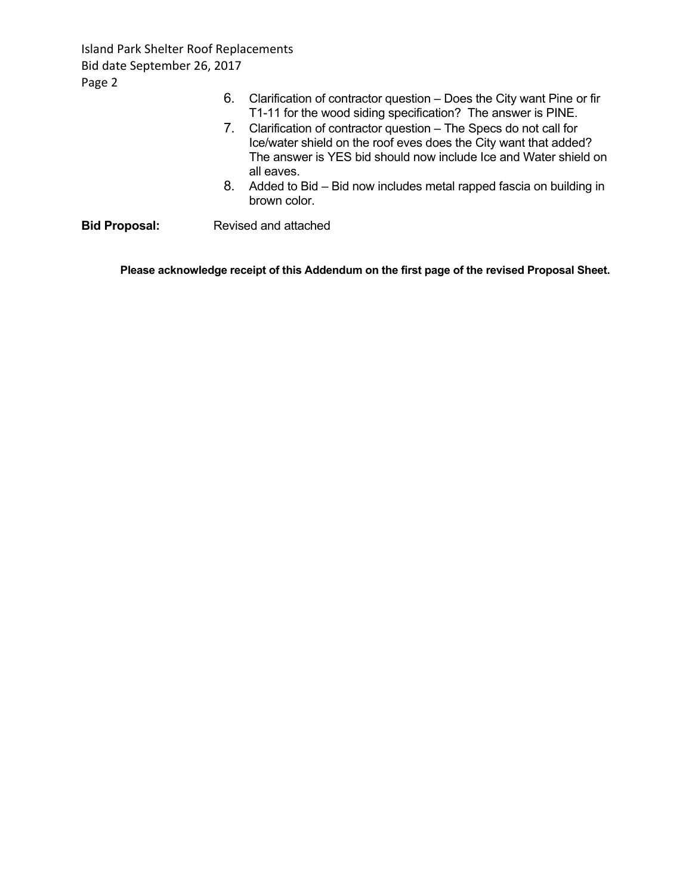Island Park Shelter Roof Replacements Bid date September 26, 2017 Page 2

|                      | 6. | Clarification of contractor question – Does the City want Pine or fir<br>T1-11 for the wood siding specification? The answer is PINE.                                                                                     |
|----------------------|----|---------------------------------------------------------------------------------------------------------------------------------------------------------------------------------------------------------------------------|
|                      |    | 7. Clarification of contractor question – The Specs do not call for<br>Ice/water shield on the roof eves does the City want that added?<br>The answer is YES bid should now include Ice and Water shield on<br>all eaves. |
|                      | 8. | Added to Bid – Bid now includes metal rapped fascia on building in<br>brown color.                                                                                                                                        |
| <b>Bid Proposal:</b> |    | Revised and attached                                                                                                                                                                                                      |

**Please acknowledge receipt of this Addendum on the first page of the revised Proposal Sheet.**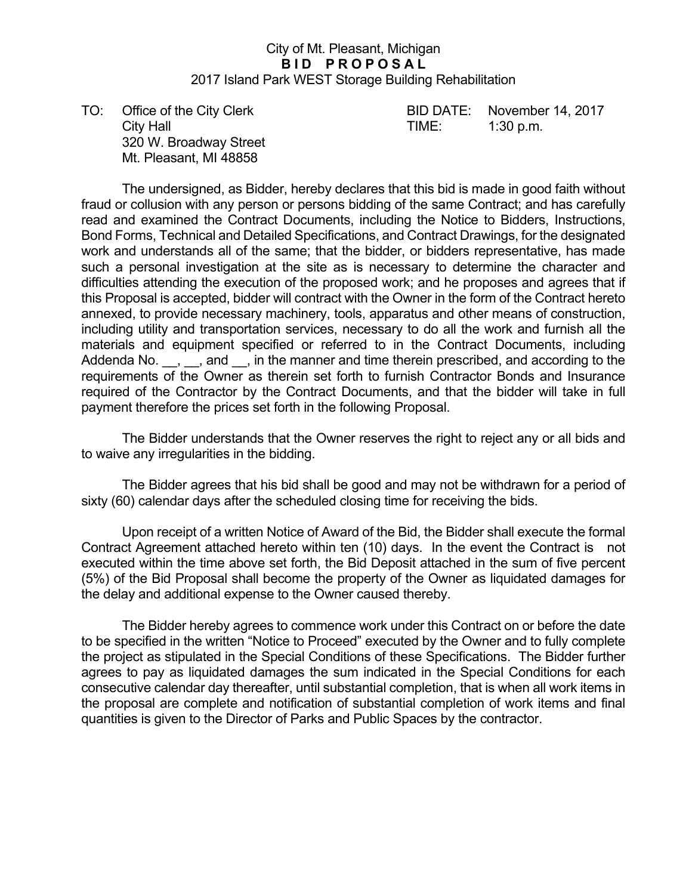#### City of Mt. Pleasant, Michigan **BID PROPOSAL** 2017 Island Park WEST Storage Building Rehabilitation

City Hall **City Hall City Hall City Hall City Hall City Hall City Hall City Hall City Hall City Hall City Hall City Hall City Hall City Hall City Hall City Hall City Hall City Hall City Ha**  320 W. Broadway Street Mt. Pleasant, MI 48858

TO: Office of the City Clerk BID DATE: November 14, 2017

 The undersigned, as Bidder, hereby declares that this bid is made in good faith without fraud or collusion with any person or persons bidding of the same Contract; and has carefully read and examined the Contract Documents, including the Notice to Bidders, Instructions, Bond Forms, Technical and Detailed Specifications, and Contract Drawings, for the designated work and understands all of the same; that the bidder, or bidders representative, has made such a personal investigation at the site as is necessary to determine the character and difficulties attending the execution of the proposed work; and he proposes and agrees that if this Proposal is accepted, bidder will contract with the Owner in the form of the Contract hereto annexed, to provide necessary machinery, tools, apparatus and other means of construction, including utility and transportation services, necessary to do all the work and furnish all the materials and equipment specified or referred to in the Contract Documents, including Addenda No. \_\_, \_\_, and \_\_, in the manner and time therein prescribed, and according to the requirements of the Owner as therein set forth to furnish Contractor Bonds and Insurance required of the Contractor by the Contract Documents, and that the bidder will take in full payment therefore the prices set forth in the following Proposal.

 The Bidder understands that the Owner reserves the right to reject any or all bids and to waive any irregularities in the bidding.

 The Bidder agrees that his bid shall be good and may not be withdrawn for a period of sixty (60) calendar days after the scheduled closing time for receiving the bids.

 Upon receipt of a written Notice of Award of the Bid, the Bidder shall execute the formal Contract Agreement attached hereto within ten (10) days. In the event the Contract is not executed within the time above set forth, the Bid Deposit attached in the sum of five percent (5%) of the Bid Proposal shall become the property of the Owner as liquidated damages for the delay and additional expense to the Owner caused thereby.

 The Bidder hereby agrees to commence work under this Contract on or before the date to be specified in the written "Notice to Proceed" executed by the Owner and to fully complete the project as stipulated in the Special Conditions of these Specifications. The Bidder further agrees to pay as liquidated damages the sum indicated in the Special Conditions for each consecutive calendar day thereafter, until substantial completion, that is when all work items in the proposal are complete and notification of substantial completion of work items and final quantities is given to the Director of Parks and Public Spaces by the contractor.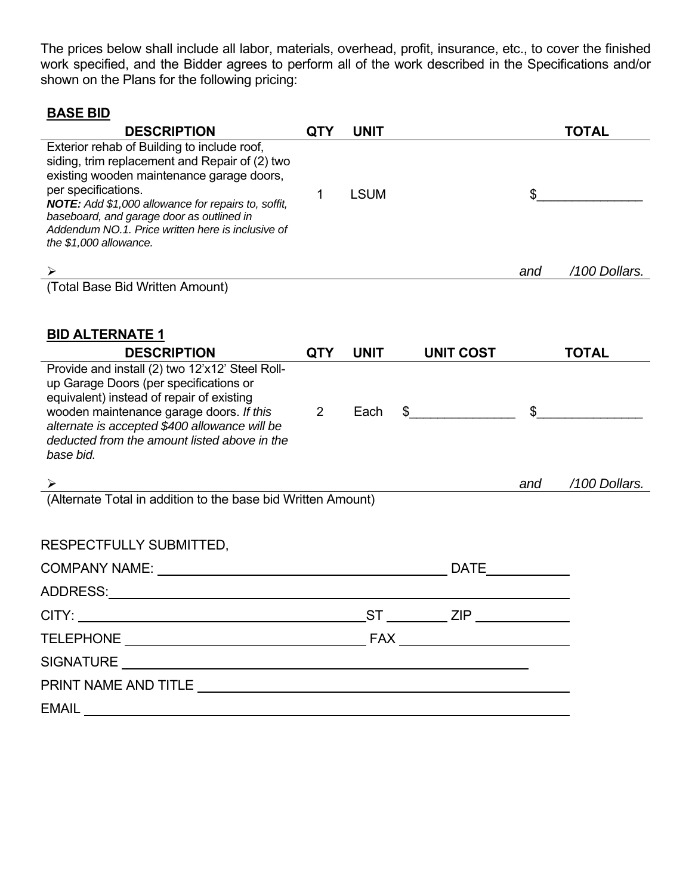The prices below shall include all labor, materials, overhead, profit, insurance, etc., to cover the finished work specified, and the Bidder agrees to perform all of the work described in the Specifications and/or shown on the Plans for the following pricing:

#### **BASE BID**

| <b>DESCRIPTION</b>                                                                                                                                                                                                                                                                                                                                    | <b>QTY</b>     | <b>UNIT</b> |                  |                | <b>TOTAL</b>  |
|-------------------------------------------------------------------------------------------------------------------------------------------------------------------------------------------------------------------------------------------------------------------------------------------------------------------------------------------------------|----------------|-------------|------------------|----------------|---------------|
| Exterior rehab of Building to include roof,<br>siding, trim replacement and Repair of (2) two<br>existing wooden maintenance garage doors,<br>per specifications.<br>NOTE: Add \$1,000 allowance for repairs to, soffit,<br>baseboard, and garage door as outlined in<br>Addendum NO.1. Price written here is inclusive of<br>the $$1,000$ allowance. | 1              | <b>LSUM</b> |                  | \$             |               |
|                                                                                                                                                                                                                                                                                                                                                       |                |             |                  | and            | /100 Dollars. |
| <del>ـ≻</del><br>(Total Base Bid Written Amount)                                                                                                                                                                                                                                                                                                      |                |             |                  |                |               |
| <b>BID ALTERNATE 1</b><br><b>DESCRIPTION</b>                                                                                                                                                                                                                                                                                                          | <b>QTY</b>     | <b>UNIT</b> | <b>UNIT COST</b> |                | <b>TOTAL</b>  |
| Provide and install (2) two 12'x12' Steel Roll-<br>up Garage Doors (per specifications or<br>equivalent) instead of repair of existing<br>wooden maintenance garage doors. If this<br>alternate is accepted \$400 allowance will be<br>deducted from the amount listed above in the<br>base bid.                                                      | $\overline{2}$ | Each        |                  | $\mathfrak{S}$ |               |
|                                                                                                                                                                                                                                                                                                                                                       |                |             |                  | and            | /100 Dollars. |
| Alternate Total in addition to the base bid Written Amount)                                                                                                                                                                                                                                                                                           |                |             |                  |                |               |
| RESPECTFULLY SUBMITTED,                                                                                                                                                                                                                                                                                                                               |                |             |                  |                |               |
|                                                                                                                                                                                                                                                                                                                                                       |                |             | <b>DATE</b>      |                |               |
|                                                                                                                                                                                                                                                                                                                                                       |                |             |                  |                |               |
| CITY: CITY:                                                                                                                                                                                                                                                                                                                                           |                |             | ST ZIP           |                |               |
|                                                                                                                                                                                                                                                                                                                                                       |                |             |                  |                |               |
|                                                                                                                                                                                                                                                                                                                                                       |                |             |                  |                |               |
|                                                                                                                                                                                                                                                                                                                                                       |                |             |                  |                |               |
| EMAIL <b>EMAIL</b>                                                                                                                                                                                                                                                                                                                                    |                |             |                  |                |               |